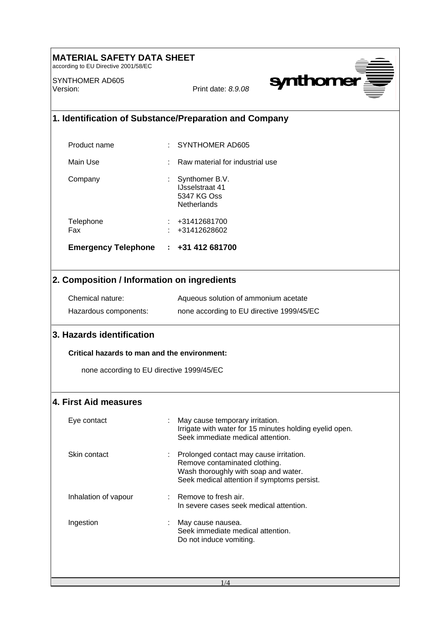| <b>ERIAL SAFETY DATA SHEET</b><br>according to EU Directive 2001/58/EC |                                                                                                                                                                   |  |
|------------------------------------------------------------------------|-------------------------------------------------------------------------------------------------------------------------------------------------------------------|--|
| SYNTHOMER AD605<br>Version:                                            | synthomer<br>Print date: 8.9.08                                                                                                                                   |  |
| 1. Identification of Substance/Preparation and Company                 |                                                                                                                                                                   |  |
| Product name                                                           | <b>SYNTHOMER AD605</b>                                                                                                                                            |  |
| Main Use                                                               | Raw material for industrial use                                                                                                                                   |  |
| Company                                                                | Synthomer B.V.<br>÷<br><b>IJsselstraat 41</b><br>5347 KG Oss<br>Netherlands                                                                                       |  |
| Telephone<br>Fax                                                       | +31412681700<br>$: +31412628602$                                                                                                                                  |  |
| Emergency Telephone : +31 412 681700                                   |                                                                                                                                                                   |  |
| 2. Composition / Information on ingredients                            |                                                                                                                                                                   |  |
| Chemical nature:                                                       | Aqueous solution of ammonium acetate                                                                                                                              |  |
| Hazardous components:                                                  | none according to EU directive 1999/45/EC                                                                                                                         |  |
| 3. Hazards identification                                              |                                                                                                                                                                   |  |
| Critical hazards to man and the environment:                           |                                                                                                                                                                   |  |
| none according to EU directive 1999/45/EC                              |                                                                                                                                                                   |  |
| 4. First Aid measures                                                  |                                                                                                                                                                   |  |
| Eye contact                                                            | May cause temporary irritation.<br>Irrigate with water for 15 minutes holding eyelid open.<br>Seek immediate medical attention.                                   |  |
| Skin contact                                                           | : Prolonged contact may cause irritation.<br>Remove contaminated clothing.<br>Wash thoroughly with soap and water.<br>Seek medical attention if symptoms persist. |  |
| Inhalation of vapour                                                   | $:$ Remove to fresh air.<br>In severe cases seek medical attention.                                                                                               |  |
| Ingestion                                                              | May cause nausea.<br>÷<br>Seek immediate medical attention.<br>Do not induce vomiting.                                                                            |  |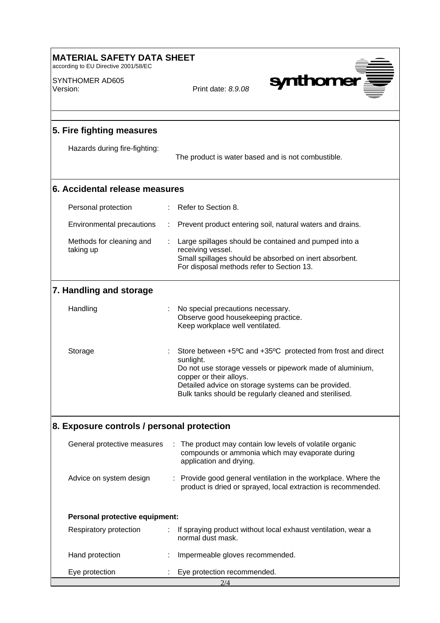| <b>MATERIAL SAFETY DATA SHEET</b><br>according to EU Directive 2001/58/EC |                                                                                                                                                                                                                                                                                    |  |
|---------------------------------------------------------------------------|------------------------------------------------------------------------------------------------------------------------------------------------------------------------------------------------------------------------------------------------------------------------------------|--|
| SYNTHOMER AD605<br>Version:                                               | <b>synthome</b><br>Print date: 8.9.08                                                                                                                                                                                                                                              |  |
| 5. Fire fighting measures                                                 |                                                                                                                                                                                                                                                                                    |  |
| Hazards during fire-fighting:                                             | The product is water based and is not combustible.                                                                                                                                                                                                                                 |  |
| 6. Accidental release measures                                            |                                                                                                                                                                                                                                                                                    |  |
| Personal protection                                                       | Refer to Section 8.                                                                                                                                                                                                                                                                |  |
| Environmental precautions                                                 | Prevent product entering soil, natural waters and drains.                                                                                                                                                                                                                          |  |
| Methods for cleaning and<br>taking up                                     | Large spillages should be contained and pumped into a<br>receiving vessel.<br>Small spillages should be absorbed on inert absorbent.<br>For disposal methods refer to Section 13.                                                                                                  |  |
| 7. Handling and storage                                                   |                                                                                                                                                                                                                                                                                    |  |
| Handling                                                                  | No special precautions necessary.<br>Observe good housekeeping practice.<br>Keep workplace well ventilated.                                                                                                                                                                        |  |
| Storage                                                                   | Store between +5°C and +35°C protected from frost and direct<br>sunlight.<br>Do not use storage vessels or pipework made of aluminium,<br>copper or their alloys.<br>Detailed advice on storage systems can be provided.<br>Bulk tanks should be regularly cleaned and sterilised. |  |
| 8. Exposure controls / personal protection                                |                                                                                                                                                                                                                                                                                    |  |
| General protective measures                                               | The product may contain low levels of volatile organic<br>compounds or ammonia which may evaporate during<br>application and drying.                                                                                                                                               |  |
| Advice on system design                                                   | Provide good general ventilation in the workplace. Where the<br>product is dried or sprayed, local extraction is recommended.                                                                                                                                                      |  |
| Personal protective equipment:                                            |                                                                                                                                                                                                                                                                                    |  |
| Respiratory protection                                                    | If spraying product without local exhaust ventilation, wear a<br>normal dust mask.                                                                                                                                                                                                 |  |
| Hand protection                                                           | Impermeable gloves recommended.                                                                                                                                                                                                                                                    |  |
| Eye protection                                                            | Eye protection recommended.                                                                                                                                                                                                                                                        |  |
|                                                                           | 2/4                                                                                                                                                                                                                                                                                |  |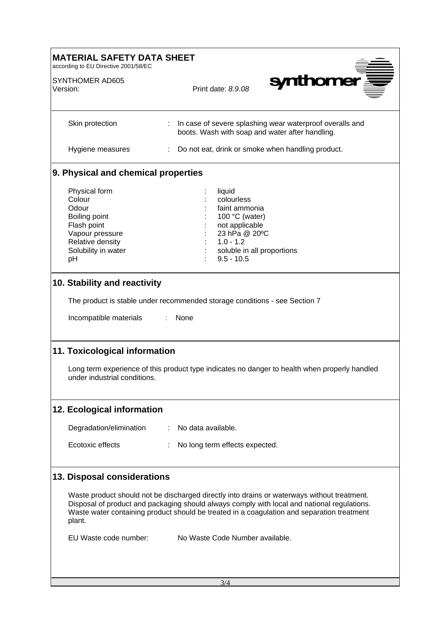| <b>MATERIAL SAFETY DATA SHEET</b><br>according to EU Directive 2001/58/EC                                                                                                                      |                                                                                                                                                                                                                                                                                          |  |
|------------------------------------------------------------------------------------------------------------------------------------------------------------------------------------------------|------------------------------------------------------------------------------------------------------------------------------------------------------------------------------------------------------------------------------------------------------------------------------------------|--|
| SYNTHOMER AD605<br>Version:                                                                                                                                                                    | synthomer<br>Print date: 8.9.08                                                                                                                                                                                                                                                          |  |
| Skin protection                                                                                                                                                                                | In case of severe splashing wear waterproof overalls and<br>boots. Wash with soap and water after handling.                                                                                                                                                                              |  |
| Hygiene measures                                                                                                                                                                               | : Do not eat, drink or smoke when handling product.                                                                                                                                                                                                                                      |  |
| 9. Physical and chemical properties                                                                                                                                                            |                                                                                                                                                                                                                                                                                          |  |
| Physical form<br>Colour<br>Odour<br>Boiling point<br>Flash point<br>Vapour pressure<br>Relative density<br>Solubility in water<br>pH<br>10. Stability and reactivity<br>Incompatible materials | liquid<br>colourless<br>faint ammonia<br>100 °C (water)<br>not applicable<br>23 hPa @ 20°C<br>$1.0 - 1.2$<br>soluble in all proportions<br>$9.5 - 10.5$<br>The product is stable under recommended storage conditions - see Section 7<br>None                                            |  |
| 11. Toxicological information                                                                                                                                                                  |                                                                                                                                                                                                                                                                                          |  |
| under industrial conditions.                                                                                                                                                                   | Long term experience of this product type indicates no danger to health when properly handled                                                                                                                                                                                            |  |
| 12. Ecological information                                                                                                                                                                     |                                                                                                                                                                                                                                                                                          |  |
| Degradation/elimination                                                                                                                                                                        | No data available.<br>÷                                                                                                                                                                                                                                                                  |  |
| Ecotoxic effects                                                                                                                                                                               | No long term effects expected.                                                                                                                                                                                                                                                           |  |
| 13. Disposal considerations                                                                                                                                                                    |                                                                                                                                                                                                                                                                                          |  |
| plant.                                                                                                                                                                                         | Waste product should not be discharged directly into drains or waterways without treatment.<br>Disposal of product and packaging should always comply with local and national regulations.<br>Waste water containing product should be treated in a coagulation and separation treatment |  |
| EU Waste code number:                                                                                                                                                                          | No Waste Code Number available.                                                                                                                                                                                                                                                          |  |
|                                                                                                                                                                                                | 3/4                                                                                                                                                                                                                                                                                      |  |